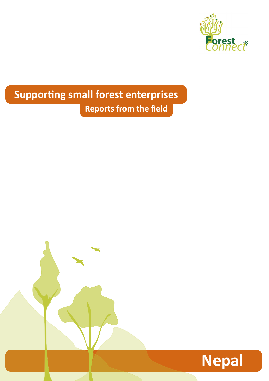

# **Supporting small forest enterprises Reports from the field**

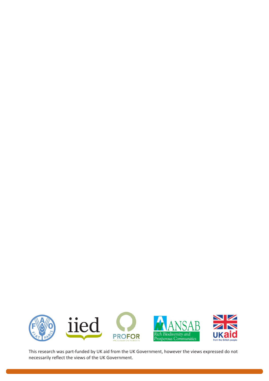

This research was part-funded by UK aid from the UK Government, however the views expressed do not necessarily reflect the views of the UK Government.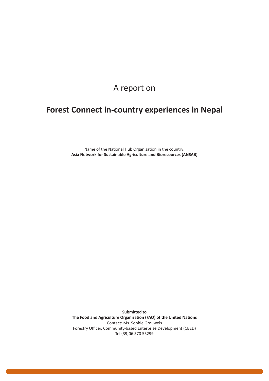## A report on

# **Forest Connect in-country experiences in Nepal**

Name of the National Hub Organisation in the country: **Asia Network for Sustainable Agriculture and Bioresources (ANSAB)**

**Submitted to The Food and Agriculture Organization (FAO) of the United Nations** Contact: Ms. Sophie Grouwels Forestry Officer, Community-based Enterprise Development (CBED) Tel (39)06 570 55299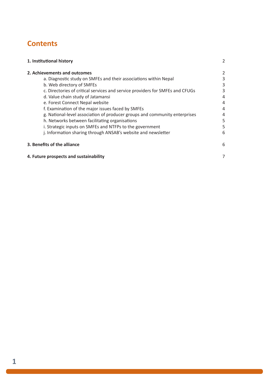# **Contents**

| 1. Institutional history                                                      | 2 |
|-------------------------------------------------------------------------------|---|
| 2. Achievements and outcomes                                                  | 2 |
| a. Diagnostic study on SMFEs and their associations within Nepal              | 3 |
| b. Web directory of SMFEs                                                     | 3 |
| c. Directories of critical services and service providers for SMFEs and CFUGs | 3 |
| d. Value chain study of Jatamansi                                             | 4 |
| e. Forest Connect Nepal website                                               | 4 |
| f. Examination of the major issues faced by SMFEs                             | 4 |
| g. National-level association of producer groups and community enterprises    | 4 |
| h. Networks between facilitating organisations                                | 5 |
| i. Strategic inputs on SMFEs and NTFPs to the government                      | 5 |
| j. Information sharing through ANSAB's website and newsletter                 | 6 |
| 3. Benefits of the alliance                                                   | 6 |
| 4. Future prospects and sustainability                                        | 7 |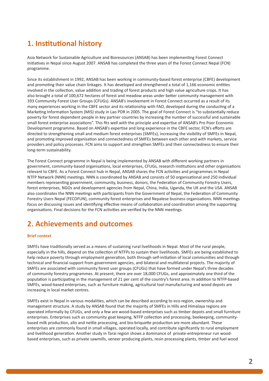## **1. Institutional history**

Asia Network for Sustainable Agriculture and Bioresources (ANSAB) has been implementing Forest Connect Initiatives in Nepal since August 2007. ANSAB has completed the three years of the Forest Connect Nepal (FCN) programme.

Since its establishment in 1992, ANSAB has been working in community-based forest enterprise (CBFE) development and promoting their value chain linkages. It has developed and strengthened a total of 1,166 economic entities involved in the collection, value addition and trading of forest products and high value agriculture crops. It has also brought a total of 100,672 hectares of forest and meadow areas under better community management with 393 Community Forest User Groups (CFUGs). ANSAB's involvement in Forest Connect occurred as a result of its many experiences working in the CBFE sector and its relationship with FAO, developed during the conducting of a Marketing Information System (MIS) study in Lao PDR in 2005. The goal of Forest Connect is "to substantially reduce poverty for forest dependent people in key partner countries by increasing the number of successful and sustainable small forest enterprise associations". This fits well with the principle and expertise of ANSAB's Pro Poor Economic Development programme. Based on ANSAB's expertise and long experience in the CBFE sector, FCN's efforts are directed to strengthening small and medium forest enterprises (SMFEs), increasing the visibility of SMFEs in Nepal, and promoting improved organisation and connectedness of SMFEs between each other and with markets, service providers and policy processes. FCN aims to support and strengthen SMFEs and their connectedness to ensure their long-term sustainability.

The Forest Connect programme in Nepal is being implemented by ANSAB with different working partners in government, community-based organisations, local enterprises, CFUGs, research institutions and other organisations relevant to CBFE. As a Forest Connect hub in Nepal, ANSAB shares the FCN activities and programmes in Nepal NTFP Network (NNN) meetings. NNN is coordinated by ANSAB and consists of 50 organisational and 250 individual members representing government, community, business, donors, the Federation of Community Forestry Users, forest enterprises, NGOs and development agencies from Nepal, China, India, Uganda, the UK and the USA. ANSAB also coordinates the NNN meetings with participants from the Government of Nepal, the Federation of Community Forestry Users Nepal (FECOFUN), community forest enterprises and Nepalese business organisations. NNN meetings focus on discussing issues and identifying effective means of collaboration and coordination among the supporting organisations. Final decisions for the FCN activities are verified by the NNN meetings.

### **2. Achievements and outcomes**

#### **Brief context**

SMFEs have traditionally served as a means of sustaining rural livelihoods in Nepal. Most of the rural people, especially in the hills, depend on the collection of NTFPs to sustain their livelihoods. SMFEs are being established to help reduce poverty through employment generation, both through self-initiation of local communities and through technical and financial support from government agencies, and bilateral and multilateral projects. The majority of SMFEs are associated with community forest user groups (CFUGs) that have formed under Nepal's three decades of community forestry programmes. At present, there are over 18,000 CFUGs, and approximately one third of the population is participating in the management of 21 per cent of the country's forest area. In addition to NTFP-based SMFEs, wood-based enterprises, such as furniture making, agricultural tool manufacturing and wood depots are increasing in local market centres.

SMFEs exist in Nepal in various modalities, which can be described according to eco-region, ownership and management structure. A study by ANSAB found that the majority of SMFEs in Hills and Himalaya regions are operated informally by CFUGs, and only a few are wood-based enterprises such as timber depots and small furniture enterprises. Enterprises such as community goat keeping, NTFP collection and processing, beekeeping, communitybased milk production, allo and nettle processing, and bio-briquette production are more abundant. These enterprises are commonly found in small villages, operated locally, and contribute significantly to rural employment and livelihood generation. Another study in Tarai region shows a dominance of private-entrepreneur run woodbased enterprises, such as private sawmills, veneer producing plants, resin processing plants, timber and fuel wood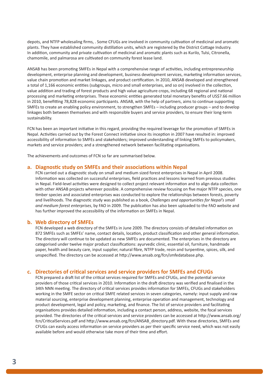depots, and NTFP wholesaling firms, . Some CFUGs are involved in community cultivation of medicinal and aromatic plants. They have established community distillation units, which are registered by the District Cottage Industry. In addition, community and private cultivation of medicinal and aromatic plants such as Kurilo, Tulsi, Citronella, chamomile, and palmarosa are cultivated on community forest lease land.

ANSAB has been promoting SMFEs in Nepal with a comprehensive range of activities, including entrepreneurship development, enterprise planning and development, business development services, marketing information services, value chain promotion and market linkages, and product certification. In 2010, ANSAB developed and strengthened a total of 1,166 economic entities (subgroups, micro and small enterprises, and so on) involved in the collection, value addition and trading of forest products and high value agriculture crops, including 68 regional and national processing and marketing enterprises. These economic entities generated total monetary benefits of US\$7.66 million in 2010, benefitting 78,828 economic participants. ANSAB, with the help of partners, aims to continue supporting SMFEs to create an enabling policy environment, to strengthen SMFEs – including producer groups – and to develop linkages both between themselves and with responsible buyers and service providers, to ensure their long-term sustainability.

FCN has been an important initiative in this regard, providing the required leverage for the promotion of SMFEs in Nepal. Activities carried out by the Forest Connect initiative since its inception in 2007 have resulted in: improved accessibility of information to SMFEs and stakeholders; improved understanding of linking SMFEs to policymakers, markets and service providers; and a strengthened network between facilitating organisations.

The achievements and outcomes of FCN so far are summarised below.

#### **a. Diagnostic study on SMFEs and their associations within Nepal**

FCN carried out a diagnostic study on small and medium sized forest enterprises in Nepal in April 2008. Information was collected on successful enterprises, field practices and lessons learned from previous studies in Nepal. Field-level activities were designed to collect project relevant information and to align data collection with other ANSAB projects wherever possible. A comprehensive review focusing on five major NTFP species, one timber species and associated enterprises was conducted to explore the relationships between forests, poverty and livelihoods. The diagnostic study was published as a book, *Challenges and opportunities for Nepal's small and medium forest enterprises*, by FAO in 2009. The publication has also been uploaded to the FAO website and has further improved the accessibility of the information on SMFEs in Nepal.

#### **b. Web directory of SMFEs**

FCN developed a web directory of the SMFEs in June 2009. The directory consists of detailed information on 872 SMFEs such as SMFEs' name, contact details, location, product classification and other general information. The directory will continue to be updated as new SMFEs are documented. The enterprises in the directory are categorised under twelve major product classifications: ayurvedic clinic, essential oil, furniture, handmade paper, health and beauty care, input supplier, natural fibre, NTFP trade, resin and turpentine, spices, silk, and unspecified. The directory can be accessed at http://www.ansab.org/fcn/smfedatabase.php.

#### **c. Directories of critical services and service providers for SMFEs and CFUGs**

FCN prepared a draft list of the critical services required for SMFEs and CFUGs, and the potential service providers of those critical services in 2010. Information in the draft directory was verified and finalised in the 34th NNN meeting. The directory of critical services provides information for SMFEs, CFUGs and stakeholders working in the SMFE sector on critical SMFE related services in seven categories, namely: input supply and raw material sourcing, enterprise development planning, enterprise operation and management, technology and product development, legal and policy, marketing, and finance. The list of service providers and facilitating organisations provides detailed information, including a contact person, address, website, the focal services provided. The directories of the critical services and service providers can be accessed at http://www.ansab.org/ fcn/CriticalServices.pdf and http://www.ansab.org/fcn/ANSAB\_directory.pdf. With these directories, SMFEs and CFUGs can easily access information on service providers as per their specific service need, which was not easily available before and would otherwise take more of their time and effort.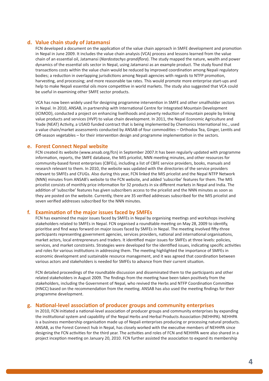#### **d. Value chain study of Jatamansi**

FCN developed a document on the application of the value chain approach in SMFE development and promotion in Nepal in June 2009. It includes the value chain analysis (VCA) process and lessons learned from the value chain of an essential oil, Jatamansi (*Nardostachys grandiflora*). The study mapped the nature, wealth and power dynamics of the essential oils sector in Nepal, using Jatamansi as an example product. The study found that transactions costs within the value chain would be reduced by improved coordination among Nepali regulatory bodies; a reduction in overlapping jurisdictions among Nepali agencies with regards to NTFP promotion, harvesting, and processing; and more reasonable tax rates. This would promote more enterprise start-ups and help to make Nepali essential oils more competitive in world markets. The study also suggested that VCA could be useful in examining other SMFE sector products.

VCA has now been widely used for designing programme intervention in SMFE and other smallholder sectors in Nepal. In 2010, ANSAB, in partnership with International Centre for Integrated Mountain Development (ICIMOD), conducted a project on enhancing livelihoods and poverty reduction of mountain people by linking value products and services (HVP) to value chain development. In 2011, the Nepal Economic Agriculture and Trade (NEAT) Activity, a USAID funded contract that is being implemented by Chemonics International Inc., used a value chain/market assessments conducted by ANSAB of four commodities – Orthodox Tea, Ginger, Lentils and Off-season vegetables – for their intervention design and programme implementation in the sectors.

#### **e. Forest Connect Nepal website**

FCN created its website (www.ansab.org/fcn) in September 2007.It has been regularly updated with programme information, reports, the SMFE database, the MIS pricelist, NNN meeting minutes, and other resources for community-based forest enterprises (CBFEs), including a list of CBFE service providers, books, manuals and research relevant to them. In 2010, the website was updated with the directories of the service providers relevant to SMFEs and CFUGs. Also during this year, FCN linked the MIS pricelist and the Nepal NTFP Network (NNN) minutes from ANSAB's website to the FCN website, and added 'subscribe' features for them. The MIS pricelist consists of monthly price information for 32 products in six different markets in Nepal and India. The addition of 'subscribe' features has given subscribers access to the pricelist and the NNN minutes as soon as they are posted on the website. Currently, there are 35 verified addresses subscribed for the MIS pricelist and seven verified addresses subscribed for the NNN minutes.

#### **f. Examination of the major issues faced by SMFEs**

FCN has examined the major issues faced by SMFEs in Nepal by organising meetings and workshops involving stakeholders related to SMFEs in Nepal. FCN organised a roundtable meeting on May 28, 2009 to identify, prioritise and find ways forward on major issues faced by SMFEs in Nepal. The meeting involved fifty-three participants representing government agencies, services providers, national and international organisations, market actors, local entrepreneurs and traders. It identified major issues for SMFEs at three levels: policies, services, and market constraints. Strategies were developed for the identified issues, indicating specific activities and roles for various institutions in addressing them. The meeting highlighted the importance of SMFEs in economic development and sustainable resource management, and it was agreed that coordination between various actors and stakeholders is needed for SMFEs to advance from their current situation.

FCN detailed proceedings of the roundtable discussion and disseminated them to the participants and other related stakeholders in August 2009. The findings from the meeting have been taken positively from the stakeholders, including the Government of Nepal, who revived the Herbs and NTFP Coordination Committee (HNCC) based on the recommendation from the meeting. ANSAB has also used the meeting findings for their programme development.

#### **g. National-level association of producer groups and community enterprises**

In 2010, FCN initiated a national-level association of producer groups and community enterprises by expanding the institutional system and capability of the Nepal Herbs and Herbal Products Association (NEHHPA). NEHHPA is a business membership organisation made up of Nepali enterprises producing or processing natural products. ANSAB, as the Forest Connect hub in Nepal, has closely worked with the executive members of NEHHPA since designing the FCN activities for the third year. The activities and roles of FCN and NEHHPA were also shared in a project inception meeting on January 20, 2010. FCN further assisted the association to expand its membership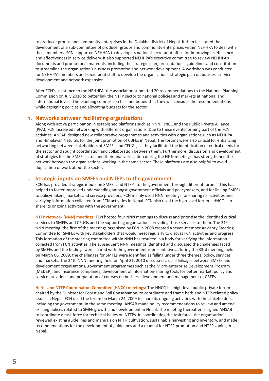to producer groups and community enterprises in the Dolakha district of Nepal. It then facilitated the development of a sub-committee of producer groups and community enterprises within NEHHPA to deal with those members. FCN supported NEHHPA to develop its national secretariat office for improving its efficiency and effectiveness in service delivery. It also supported NEHHPA's executive committee to review NEHHPA's documents and promotional materials, including the strategic plan, presentations, guidelines and constitution to streamline the organisation's business promotion and network development. A workshop was conducted for NEHHPA's members and secretariat staff to develop the organisation's strategic plan on business service development and network expansion.

After FCN's assistance to the NEHHPA, the association submitted 20 recommendations to the National Planning Commission on July 2010 to better link the NTFP sector to national policies and markets at national and international levels. The planning commission has mentioned that they will consider the recommendations while designing policies and allocating budgets for the sector.

#### **h. Networks between facilitating organisations**

Along with active participation in established platforms such as NNN, HNCC and the Public Private Alliance (PPA), FCN increased networking with different organizations. Due to these events forming part of the FCN activities, ANSAB designed new collaborative programmes and activities with organisations such as NEHHPA and Himalayan Naturals for the joint promotion of CBFEs in Nepal. The forums were also critical for enhancing networking between stakeholders of SMFEs and CFUGs, as they facilitated the identification of critical needs for the sector and sought coordination and collaboration between them. Furthermore, discussion and development of strategies for the SMFE sector, and their final verification during the NNN meetings, has strengthened the network between the organisations working in the same sector. These platforms are also helpful to avoid duplication of work about the sector.

#### **i. Strategic inputs on SMFEs and NTFPs to the government**

FCN has provided strategic inputs on SMFEs and NTFPs to the government through different forums. This has helped to foster improved understanding amongst government officials and policymakers, and for linking SMFEs to policymakers, markets and service providers. FCN mainly used NNN meetings for sharing its activities and verifying information collected from FCN activities in Nepal. FCN also used the high-level forum – HNCC – to share its ongoing activities with the government.

**NTFP Network (NNN) meetings:** FCN hosted four NNN meetings to discuss and prioritise the identified critical services to SMFEs and CFUGs and the supporting organisations providing those services to them. The 31<sup>st</sup> NNN meeting, the first of the meetings organised by FCN in 2008 created a seven-member Advisory Steering Committee for SMFEs with key stakeholders that would meet regularly to discuss FCN activities and progress. This formation of the steering committee within NNN has resulted in a body for verifying the information collected from FCN activities. The subsequent NNN meetings identified and discussed the challenges faced by SMFEs and the findings were shared with the government representatives. During the 33rd meeting, held on March 06, 2009, the challenges for SMFEs were identified as falling under three themes: policy, services and markets. The 34th NNN meeting, held on April 21, 2010 discussed crucial linkages between SMFEs and development organisations, government programmes such as the Micro-enterprise Development Program (MEDEP), and insurance companies; development of information-sharing tools for better market, policy and service providers; and preparation of courses on business development and management of CBFEs..

**Herbs and NTFP Coordination Committee (HNCC) meetings:** The HNCC is a high-level public-private forum chaired by the Minister for Forest and Soil Conservation, to coordinate and frame herb and NTFP-related policy issues in Nepal. FCN used the forum on March 24, 2009 to share its ongoing activities with the stakeholders, including the government. In the same meeting, ANSAB made policy recommendations to review and amend existing polices related to SMFE growth and development in Nepal. The meeting thereafter assigned ANSAB to coordinate a task force for technical issues on NTFPs. In coordinating the task force, the organisation reviewed existing guidelines and manuals on NTFP cultivation, sustainable harvesting and inventory, and made recommendations for the development of guidelines and a manual for NTFP promotion and NTFP zoning in Nepal.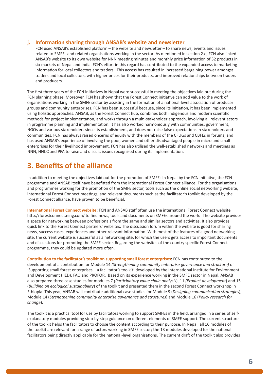#### **j. Information sharing through ANSAB's website and newsletter**

FCN used ANSAB's established platform – the website and newsletter – to share news, events and issues related to SMFEs and related organisations working in the sector*.* As mentioned in section 2.e, FCN also linked ANSAB's website to its own website for NNN meeting minutes and monthly price information of 32 products in six markets of Nepal and India. FCN's effort in this regard has contributed to the expanded access to marketing information for local collectors and traders. This access has resulted in increased bargaining power amongst traders and local collectors, with higher prices for their products, and improved relationships between traders and producers.

The first three years of the FCN initiatives in Nepal were successful in meeting the objectives laid out during the FCN planning phase. Moreover, FCN has shown that the Forest Connect initiative can add value to the work of organisations working in the SMFE sector by assisting in the formation of a national-level association of producer groups and community enterprises. FCN has been successful because, since its initiation, it has been implemented using holistic approaches. ANSAB, as the Forest Connect hub, combines both indigenous and modern scientific methods for project implementation, and works through a multi-stakeholder approach, involving all relevant actors in programme planning and implementation. It has also worked harmoniously with communities, government, NGOs and various stakeholders since its establishment, and does not raise false expectations in stakeholders and communities. FCN has always raised oncerns of equity with the members of the CFUGs and CBFEs in forums, and has used ANSAB's experience of involving the poor, women and other disadvantaged people in micro and small enterprises for their livelihood improvement. FCN has also utilised the well-established networks and meetings as NNN, HNCC and PPA to raise and discuss issues recognised during its implementation.

### **3. Benefits of the alliance**

In addition to meeting the objectives laid out for the promotion of SMFEs in Nepal by the FCN initiative, the FCN programme and ANSAB itself have benefitted from the international Forest Connect alliance. For the organisations and programmes working for the promotion of the SMFE sector, tools such as the online social networking website, international Forest Connect meetings, and relevant documents such as the facilitator's toolkit developed by the Forest Connect alliance, have proven to be beneficial.

**International Forest Connect website:** FCN and ANSAB staff often use the international Forest Connect website http://forestconnect.ning.com/ to find news, tools and documents on SMFEs around the world. The website provides a space for networking between professionals from the same and similar sectors and activities. It also provides quick link to the Forest Connect partners' websites. The discussion forum within the website is good for sharing news, success cases, experiences and other relevant information. With most of the features of a good networking site, the current website is successful as a networking site, for which the users gets access to important documents and discussions for promoting the SMFE sector. Regarding the websites of the country specific Forest Connect programme, they could be updated more often.

**Contribution to the facilitator's toolkit on supporting small forest enterprises:** FCN has contributed to the development of a contribution for Module 14 *(Strengthening community enterprise governance and structure)* of 'Supporting small forest enterprises – a facilitator's toolkit' developed by the International Institute for Environment and Development (IIED), FAO and PROFOR. Based on its experience working in the SMFE sector in Nepal, ANSAB also prepared three case studies for modules 7 *(Participatory value chain analysis*), 11 *(Product development*) and 15 (*Building on ecological sustainability*) of the toolkit and presented them in the second Forest Connect workshop in Ethiopia. This year, ANSAB will contribute additional case studies for Module 9 (*Designing communication strategies*), Module 14 (*Strengthening community enterprise governance and structures*) and Module 16 (*Policy research for change*).

The toolkit is a practical tool for use by facilitators working to support SMFEs in the field, arranged in a series of selfexplanatory modules providing step-by-step guidance on different elements of SMFE support. The current structure of the toolkit helps the facilitators to choose the content according to their purpose. In Nepal, all 16 modules of the toolkit are relevant for a range of actors working in SMFE sector; the 13 modules developed for the national facilitators being directly applicable for the national-level organisations. The current draft of the toolkit also provides